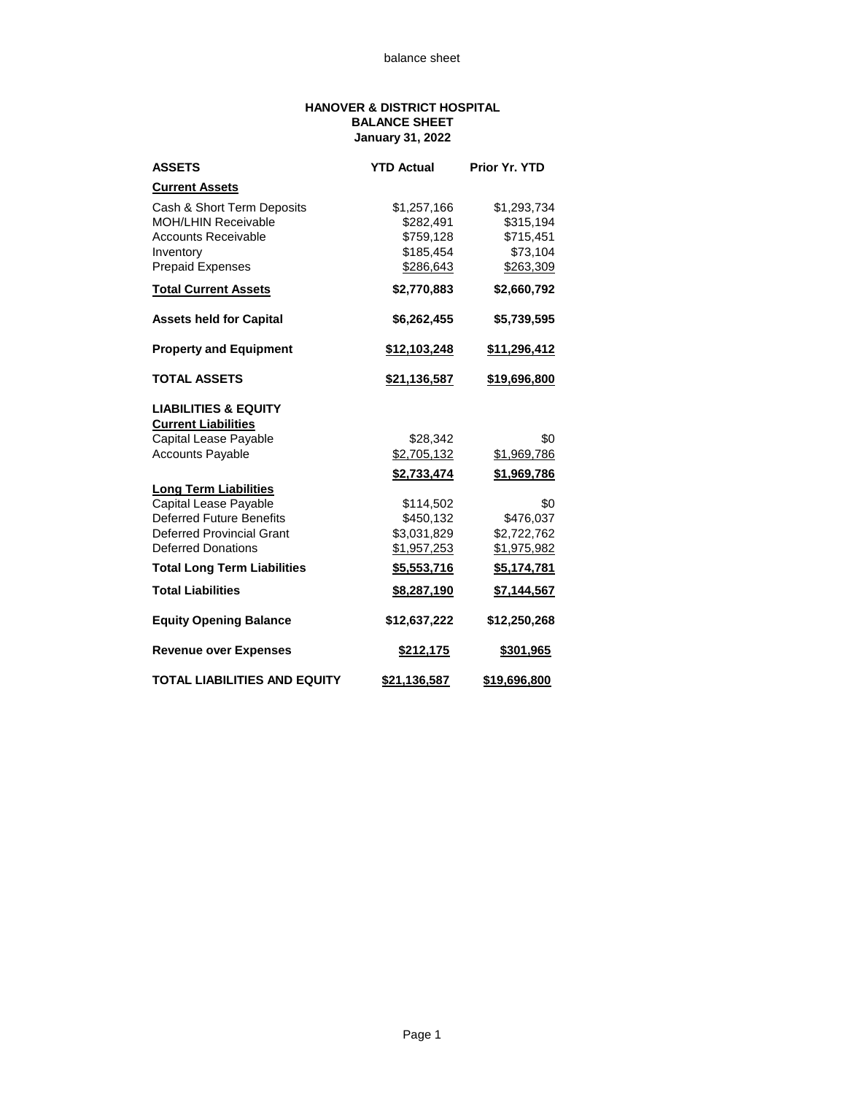## **HANOVER & DISTRICT HOSPITAL BALANCE SHEET January 31, 2022**

| <b>ASSETS</b>                       | <b>YTD Actual</b>   | Prior Yr. YTD       |  |  |
|-------------------------------------|---------------------|---------------------|--|--|
| <b>Current Assets</b>               |                     |                     |  |  |
| Cash & Short Term Deposits          | \$1,257,166         | \$1,293,734         |  |  |
| <b>MOH/LHIN Receivable</b>          | \$282,491           | \$315,194           |  |  |
| <b>Accounts Receivable</b>          | \$759,128           | \$715,451           |  |  |
| Inventory                           | \$185,454           | \$73,104            |  |  |
| <b>Prepaid Expenses</b>             | \$286,643           | \$263,309           |  |  |
| <b>Total Current Assets</b>         | \$2,770,883         | \$2,660,792         |  |  |
| <b>Assets held for Capital</b>      | \$6,262,455         | \$5,739,595         |  |  |
| <b>Property and Equipment</b>       | \$12,103,248        | <u>\$11,296,412</u> |  |  |
| <b>TOTAL ASSETS</b>                 | <u>\$21,136,587</u> | \$19,696,800        |  |  |
| <b>LIABILITIES &amp; EQUITY</b>     |                     |                     |  |  |
| <b>Current Liabilities</b>          |                     |                     |  |  |
| Capital Lease Payable               | \$28,342            | \$0                 |  |  |
| <b>Accounts Payable</b>             | \$2,705,132         | \$1,969,786         |  |  |
|                                     | \$2,733,474         | \$1,969,786         |  |  |
| <b>Long Term Liabilities</b>        |                     |                     |  |  |
| Capital Lease Payable               | \$114,502           | \$0                 |  |  |
| <b>Deferred Future Benefits</b>     | \$450,132           | \$476,037           |  |  |
| <b>Deferred Provincial Grant</b>    | \$3,031,829         | \$2,722,762         |  |  |
| <b>Deferred Donations</b>           | \$1,957,253         | \$1,975,982         |  |  |
| <b>Total Long Term Liabilities</b>  | \$5,553,716         | \$5,174,781         |  |  |
| <b>Total Liabilities</b>            | \$8,287,190         | \$7,144,567         |  |  |
| <b>Equity Opening Balance</b>       | \$12,637,222        | \$12,250,268        |  |  |
| <b>Revenue over Expenses</b>        | \$212,175           | \$301,965           |  |  |
| <b>TOTAL LIABILITIES AND EQUITY</b> | \$21,136,587        | \$19,696,800        |  |  |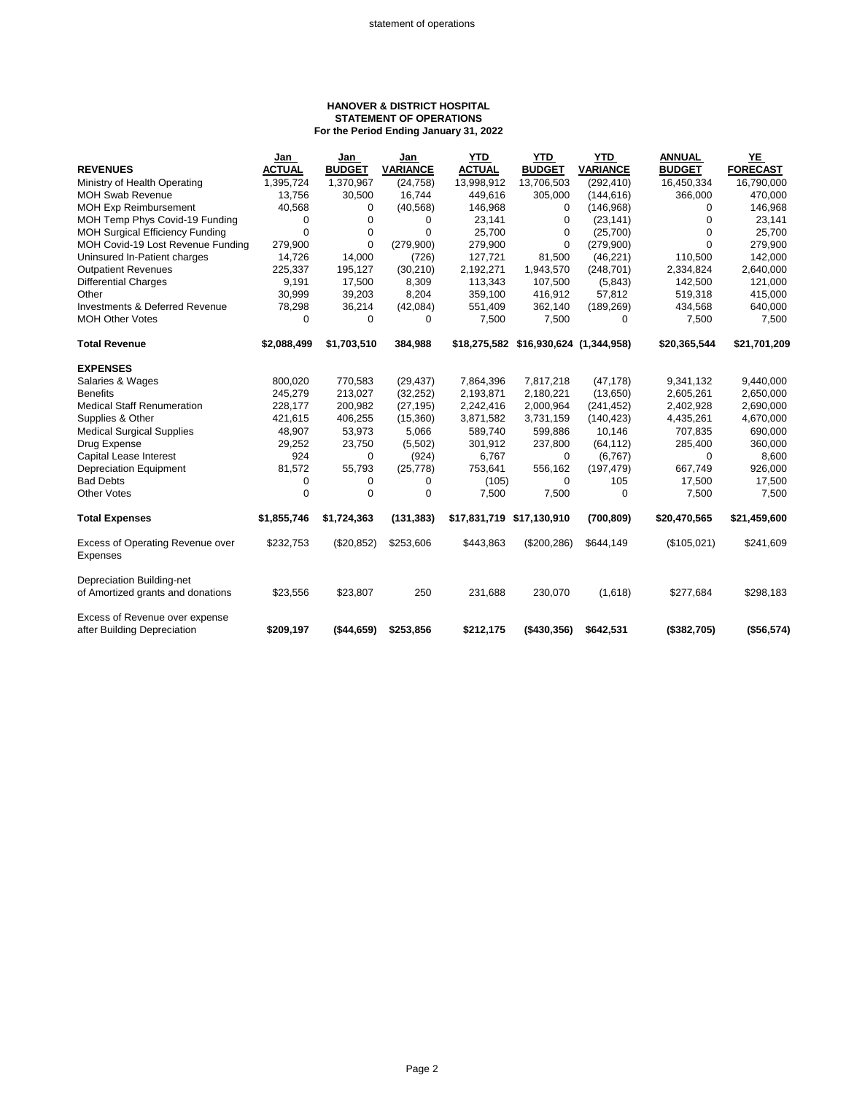## **HANOVER & DISTRICT HOSPITAL STATEMENT OF OPERATIONS For the Period Ending January 31, 2022**

|                                                               | Jan           | Jan           | Jan             | <b>YTD</b>                | <b>YTD</b>                            | <b>YTD</b>      | <b>ANNUAL</b> | YE              |
|---------------------------------------------------------------|---------------|---------------|-----------------|---------------------------|---------------------------------------|-----------------|---------------|-----------------|
| <b>REVENUES</b>                                               | <b>ACTUAL</b> | <b>BUDGET</b> | <b>VARIANCE</b> | <b>ACTUAL</b>             | <b>BUDGET</b>                         | <b>VARIANCE</b> | <b>BUDGET</b> | <b>FORECAST</b> |
| Ministry of Health Operating                                  | 1,395,724     | 1,370,967     | (24, 758)       | 13,998,912                | 13,706,503                            | (292, 410)      | 16,450,334    | 16,790,000      |
| <b>MOH Swab Revenue</b>                                       | 13,756        | 30,500        | 16,744          | 449,616                   | 305,000                               | (144, 616)      | 366,000       | 470,000         |
| <b>MOH Exp Reimbursement</b>                                  | 40,568        | 0             | (40, 568)       | 146,968                   | 0                                     | (146,968)       | 0             | 146,968         |
| MOH Temp Phys Covid-19 Funding                                | 0             | 0             | 0               | 23,141                    | 0                                     | (23, 141)       | $\Omega$      | 23,141          |
| <b>MOH Surgical Efficiency Funding</b>                        | $\Omega$      | 0             | $\Omega$        | 25,700                    | $\Omega$                              | (25,700)        | $\Omega$      | 25,700          |
| MOH Covid-19 Lost Revenue Funding                             | 279,900       | $\Omega$      | (279,900)       | 279,900                   | $\Omega$                              | (279,900)       | $\Omega$      | 279,900         |
| Uninsured In-Patient charges                                  | 14,726        | 14,000        | (726)           | 127,721                   | 81,500                                | (46, 221)       | 110,500       | 142,000         |
| <b>Outpatient Revenues</b>                                    | 225,337       | 195,127       | (30, 210)       | 2,192,271                 | 1,943,570                             | (248, 701)      | 2,334,824     | 2,640,000       |
| <b>Differential Charges</b>                                   | 9,191         | 17,500        | 8,309           | 113,343                   | 107,500                               | (5,843)         | 142,500       | 121,000         |
| Other                                                         | 30,999        | 39,203        | 8,204           | 359,100                   | 416,912                               | 57,812          | 519,318       | 415,000         |
| <b>Investments &amp; Deferred Revenue</b>                     | 78,298        | 36,214        | (42,084)        | 551,409                   | 362,140                               | (189, 269)      | 434,568       | 640,000         |
| <b>MOH Other Votes</b>                                        | 0             | 0             | 0               | 7,500                     | 7,500                                 | 0               | 7,500         | 7,500           |
| <b>Total Revenue</b>                                          | \$2,088,499   | \$1,703,510   | 384,988         |                           | \$18,275,582 \$16,930,624 (1,344,958) |                 | \$20,365,544  | \$21,701,209    |
| <b>EXPENSES</b>                                               |               |               |                 |                           |                                       |                 |               |                 |
| Salaries & Wages                                              | 800,020       | 770,583       | (29, 437)       | 7,864,396                 | 7,817,218                             | (47, 178)       | 9,341,132     | 9,440,000       |
| <b>Benefits</b>                                               | 245.279       | 213,027       | (32, 252)       | 2,193,871                 | 2,180,221                             | (13,650)        | 2,605,261     | 2,650,000       |
| <b>Medical Staff Renumeration</b>                             | 228,177       | 200,982       | (27, 195)       | 2,242,416                 | 2,000,964                             | (241, 452)      | 2,402,928     | 2,690,000       |
| Supplies & Other                                              | 421,615       | 406,255       | (15,360)        | 3,871,582                 | 3,731,159                             | (140, 423)      | 4,435,261     | 4,670,000       |
| <b>Medical Surgical Supplies</b>                              | 48,907        | 53,973        | 5,066           | 589,740                   | 599,886                               | 10,146          | 707,835       | 690,000         |
| Drug Expense                                                  | 29,252        | 23,750        | (5,502)         | 301,912                   | 237,800                               | (64, 112)       | 285,400       | 360,000         |
| <b>Capital Lease Interest</b>                                 | 924           | 0             | (924)           | 6,767                     | 0                                     | (6, 767)        | 0             | 8,600           |
| <b>Depreciation Equipment</b>                                 | 81,572        | 55,793        | (25, 778)       | 753,641                   | 556,162                               | (197, 479)      | 667,749       | 926,000         |
| <b>Bad Debts</b>                                              | 0             | 0             | 0               | (105)                     | $\Omega$                              | 105             | 17,500        | 17,500          |
| <b>Other Votes</b>                                            | 0             | 0             | 0               | 7,500                     | 7,500                                 | 0               | 7,500         | 7,500           |
| <b>Total Expenses</b>                                         | \$1,855,746   | \$1,724,363   | (131, 383)      | \$17,831,719 \$17,130,910 |                                       | (700, 809)      | \$20,470,565  | \$21,459,600    |
| Excess of Operating Revenue over                              | \$232,753     | (\$20,852)    | \$253,606       | \$443,863                 | (\$200, 286)                          | \$644,149       | (\$105,021)   | \$241,609       |
| Expenses                                                      |               |               |                 |                           |                                       |                 |               |                 |
| Depreciation Building-net                                     |               |               |                 |                           |                                       |                 |               |                 |
| of Amortized grants and donations                             | \$23,556      | \$23,807      | 250             | 231,688                   | 230,070                               | (1,618)         | \$277,684     | \$298,183       |
| Excess of Revenue over expense<br>after Building Depreciation | \$209.197     | (\$44,659)    | \$253,856       | \$212,175                 | ( \$430.356)                          | \$642.531       | ( \$382, 705) | (\$56,574)      |